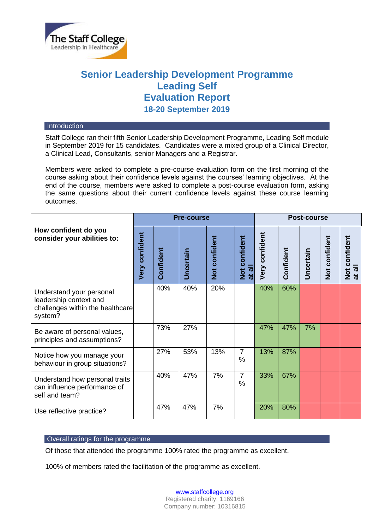

# **Senior Leadership Development Programme Leading Self Evaluation Report 18-20 September 2019**

#### **Introduction**

Staff College ran their fifth Senior Leadership Development Programme, Leading Self module in September 2019 for 15 candidates. Candidates were a mixed group of a Clinical Director, a Clinical Lead, Consultants, senior Managers and a Registrar.

Members were asked to complete a pre-course evaluation form on the first morning of the course asking about their confidence levels against the courses' learning objectives. At the end of the course, members were asked to complete a post-course evaluation form, asking the same questions about their current confidence levels against these course learning outcomes.

|                                                                                                   | <b>Pre-course</b>     |           |                  |               |                     | <b>Post-course</b> |           |           |               |                                              |
|---------------------------------------------------------------------------------------------------|-----------------------|-----------|------------------|---------------|---------------------|--------------------|-----------|-----------|---------------|----------------------------------------------|
| How confident do you<br>consider your abilities to:                                               | <b>Very confident</b> | Confident | <b>Uncertain</b> | Not confident | Not confident<br>ᄛ  | Very confident     | Confident | Uncertain | Not confident | Not confident<br>$\overline{a}$<br>$\vec{a}$ |
| Understand your personal<br>leadership context and<br>challenges within the healthcare<br>system? |                       | 40%       | 40%              | 20%           |                     | 40%                | 60%       |           |               |                                              |
| Be aware of personal values,<br>principles and assumptions?                                       |                       | 73%       | 27%              |               |                     | 47%                | 47%       | 7%        |               |                                              |
| Notice how you manage your<br>behaviour in group situations?                                      |                       | 27%       | 53%              | 13%           | $\overline{7}$<br>% | 13%                | 87%       |           |               |                                              |
| Understand how personal traits<br>can influence performance of<br>self and team?                  |                       | 40%       | 47%              | 7%            | $\overline{7}$<br>% | 33%                | 67%       |           |               |                                              |
| Use reflective practice?                                                                          |                       | 47%       | 47%              | 7%            |                     | 20%                | 80%       |           |               |                                              |

## Overall ratings for the programme

Of those that attended the programme 100% rated the programme as excellent.

100% of members rated the facilitation of the programme as excellent.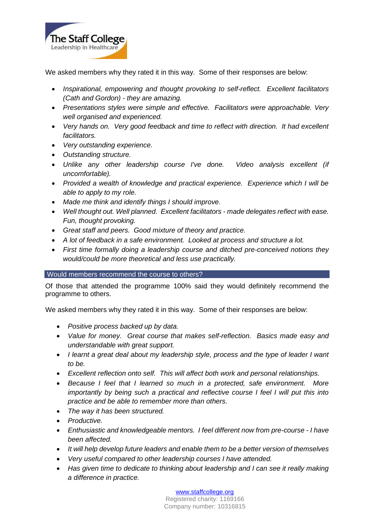

We asked members why they rated it in this way. Some of their responses are below:

- *Inspirational, empowering and thought provoking to self-reflect. Excellent facilitators (Cath and Gordon) - they are amazing.*
- *Presentations styles were simple and effective. Facilitators were approachable. Very well organised and experienced.*
- *Very hands on. Very good feedback and time to reflect with direction. It had excellent facilitators.*
- *Very outstanding experience.*
- *Outstanding structure.*
- *Unlike any other leadership course I've done. Video analysis excellent (if uncomfortable).*
- *Provided a wealth of knowledge and practical experience. Experience which I will be able to apply to my role.*
- *Made me think and identify things I should improve.*
- *Well thought out. Well planned. Excellent facilitators - made delegates reflect with ease. Fun, thought provoking.*
- *Great staff and peers. Good mixture of theory and practice.*
- *A lot of feedback in a safe environment. Looked at process and structure a lot.*
- *First time formally doing a leadership course and ditched pre-conceived notions they would/could be more theoretical and less use practically.*

# Would members recommend the course to others?

Of those that attended the programme 100% said they would definitely recommend the programme to others.

We asked members why they rated it in this way. Some of their responses are below:

- *Positive process backed up by data.*
- *Value for money. Great course that makes self-reflection. Basics made easy and understandable with great support.*
- *I learnt a great deal about my leadership style, process and the type of leader I want to be.*
- *Excellent reflection onto self. This will affect both work and personal relationships.*
- *Because I feel that I learned so much in a protected, safe environment. More importantly by being such a practical and reflective course I feel I will put this into practice and be able to remember more than others.*
- *The way it has been structured.*
- *Productive.*
- *Enthusiastic and knowledgeable mentors. I feel different now from pre-course - I have been affected.*
- *It will help develop future leaders and enable them to be a better version of themselves*
- *Very useful compared to other leadership courses I have attended.*
- *Has given time to dedicate to thinking about leadership and I can see it really making a difference in practice.*

[www.staffcollege.org](http://www.staffcollege.org/)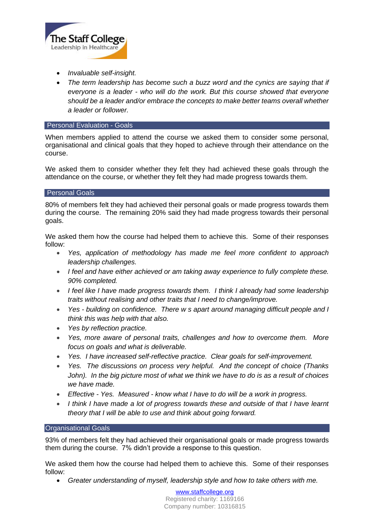

- *Invaluable self-insight.*
- *The term leadership has become such a buzz word and the cynics are saying that if everyone is a leader - who will do the work. But this course showed that everyone should be a leader and/or embrace the concepts to make better teams overall whether a leader or follower.*

## **Personal Evaluation - Goals**

When members applied to attend the course we asked them to consider some personal, organisational and clinical goals that they hoped to achieve through their attendance on the course.

We asked them to consider whether they felt they had achieved these goals through the attendance on the course, or whether they felt they had made progress towards them.

### Personal Goals

80% of members felt they had achieved their personal goals or made progress towards them during the course. The remaining 20% said they had made progress towards their personal goals.

We asked them how the course had helped them to achieve this. Some of their responses follow:

- *Yes, application of methodology has made me feel more confident to approach leadership challenges.*
- *I feel and have either achieved or am taking away experience to fully complete these. 90% completed.*
- *I feel like I have made progress towards them. I think I already had some leadership traits without realising and other traits that I need to change/improve.*
- *Yes - building on confidence. There w s apart around managing difficult people and I think this was help with that also.*
- *Yes by reflection practice.*
- *Yes, more aware of personal traits, challenges and how to overcome them. More focus on goals and what is deliverable.*
- *Yes. I have increased self-reflective practice. Clear goals for self-improvement.*
- *Yes. The discussions on process very helpful. And the concept of choice (Thanks John). In the big picture most of what we think we have to do is as a result of choices we have made.*
- *Effective - Yes. Measured - know what I have to do will be a work in progress.*
- *I think I have made a lot of progress towards these and outside of that I have learnt theory that I will be able to use and think about going forward.*

### Organisational Goals

93% of members felt they had achieved their organisational goals or made progress towards them during the course. 7% didn't provide a response to this question.

We asked them how the course had helped them to achieve this. Some of their responses follow:

• *Greater understanding of myself, leadership style and how to take others with me.*

[www.staffcollege.org](http://www.staffcollege.org/) Registered charity: 1169166 Company number: 10316815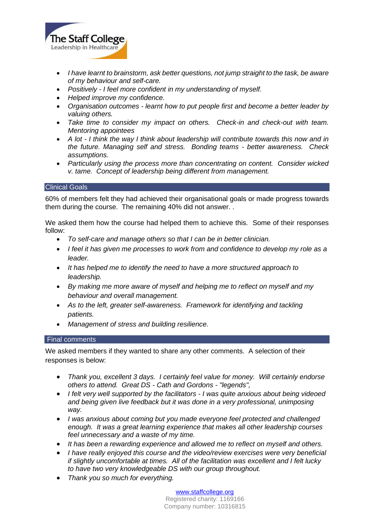

- *I have learnt to brainstorm, ask better questions, not jump straight to the task, be aware of my behaviour and self-care.*
- *Positively - I feel more confident in my understanding of myself.*
- *Helped improve my confidence.*
- *Organisation outcomes - learnt how to put people first and become a better leader by valuing others.*
- *Take time to consider my impact on others. Check-in and check-out with team. Mentoring appointees*
- *A lot - I think the way I think about leadership will contribute towards this now and in the future. Managing self and stress. Bonding teams - better awareness. Check assumptions.*
- *Particularly using the process more than concentrating on content. Consider wicked v. tame. Concept of leadership being different from management.*

### Clinical Goals

60% of members felt they had achieved their organisational goals or made progress towards them during the course. The remaining 40% did not answer. .

We asked them how the course had helped them to achieve this. Some of their responses follow:

- *To self-care and manage others so that I can be in better clinician.*
- *I feel it has given me processes to work from and confidence to develop my role as a leader.*
- *It has helped me to identify the need to have a more structured approach to leadership.*
- *By making me more aware of myself and helping me to reflect on myself and my behaviour and overall management.*
- As to the left, greater self-awareness. Framework for identifying and tackling *patients.*
- *Management of stress and building resilience.*

### Final comments

We asked members if they wanted to share any other comments. A selection of their responses is below:

- *Thank you, excellent 3 days. I certainly feel value for money. Will certainly endorse others to attend. Great DS - Cath and Gordons - "legends",*
- *I felt very well supported by the facilitators - I was quite anxious about being videoed and being given live feedback but it was done in a very professional, unimposing way.*
- *I was anxious about coming but you made everyone feel protected and challenged enough. It was a great learning experience that makes all other leadership courses feel unnecessary and a waste of my time.*
- *It has been a rewarding experience and allowed me to reflect on myself and others.*
- *I have really enjoyed this course and the video/review exercises were very beneficial if slightly uncomfortable at times. All of the facilitation was excellent and I felt lucky to have two very knowledgeable DS with our group throughout.*
- *Thank you so much for everything.*

[www.staffcollege.org](http://www.staffcollege.org/)